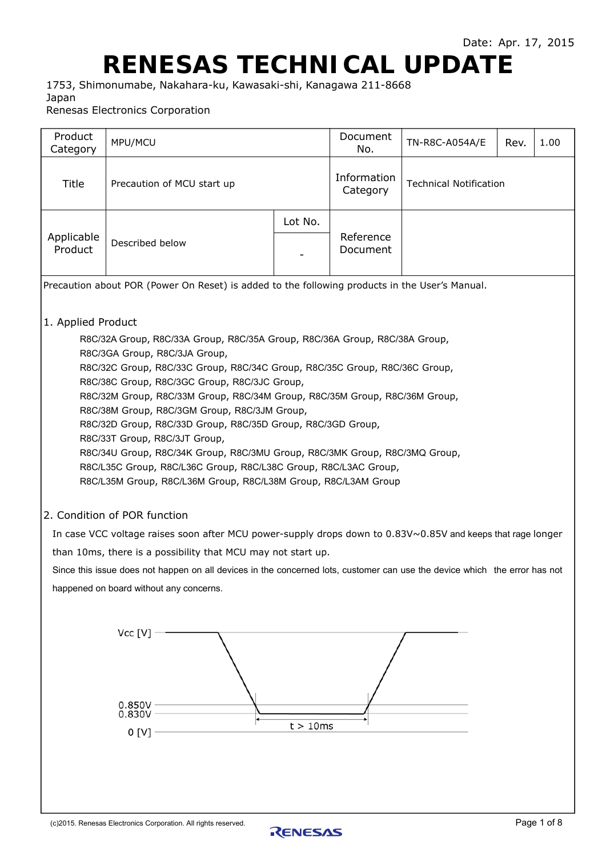# **RENESAS TECHNICAL UPDATE**

1753, Shimonumabe, Nakahara-ku, Kawasaki-shi, Kanagawa 211-8668 Japan

Renesas Electronics Corporation

| Product<br>Category   | MPU/MCU                                                                                                                                                                                                                                                                                                                                                                                                                                                                                                                                                                                                                                                                                    |          | Document<br>No.         | TN-R8C-A054A/E                | Rev. | 1.00        |
|-----------------------|--------------------------------------------------------------------------------------------------------------------------------------------------------------------------------------------------------------------------------------------------------------------------------------------------------------------------------------------------------------------------------------------------------------------------------------------------------------------------------------------------------------------------------------------------------------------------------------------------------------------------------------------------------------------------------------------|----------|-------------------------|-------------------------------|------|-------------|
| Title                 | Precaution of MCU start up                                                                                                                                                                                                                                                                                                                                                                                                                                                                                                                                                                                                                                                                 |          | Information<br>Category | <b>Technical Notification</b> |      |             |
|                       |                                                                                                                                                                                                                                                                                                                                                                                                                                                                                                                                                                                                                                                                                            | Lot No.  |                         |                               |      |             |
| Applicable<br>Product | Described below                                                                                                                                                                                                                                                                                                                                                                                                                                                                                                                                                                                                                                                                            |          | Reference<br>Document   |                               |      |             |
|                       | Precaution about POR (Power On Reset) is added to the following products in the User's Manual.                                                                                                                                                                                                                                                                                                                                                                                                                                                                                                                                                                                             |          |                         |                               |      |             |
| 1. Applied Product    | R8C/32A Group, R8C/33A Group, R8C/35A Group, R8C/36A Group, R8C/38A Group,<br>R8C/3GA Group, R8C/3JA Group,<br>R8C/32C Group, R8C/33C Group, R8C/34C Group, R8C/35C Group, R8C/36C Group,<br>R8C/38C Group, R8C/3GC Group, R8C/3JC Group,<br>R8C/32M Group, R8C/33M Group, R8C/34M Group, R8C/35M Group, R8C/36M Group,<br>R8C/38M Group, R8C/3GM Group, R8C/3JM Group,<br>R8C/32D Group, R8C/33D Group, R8C/35D Group, R8C/3GD Group,<br>R8C/33T Group, R8C/3JT Group,<br>R8C/34U Group, R8C/34K Group, R8C/3MU Group, R8C/3MK Group, R8C/3MQ Group,<br>R8C/L35C Group, R8C/L36C Group, R8C/L38C Group, R8C/L3AC Group,<br>R8C/L35M Group, R8C/L36M Group, R8C/L38M Group, R8C/L3AM Group |          |                         |                               |      |             |
|                       | 2. Condition of POR function                                                                                                                                                                                                                                                                                                                                                                                                                                                                                                                                                                                                                                                               |          |                         |                               |      |             |
|                       | In case VCC voltage raises soon after MCU power-supply drops down to 0.83V~0.85V and keeps that rage longer                                                                                                                                                                                                                                                                                                                                                                                                                                                                                                                                                                                |          |                         |                               |      |             |
|                       | than 10ms, there is a possibility that MCU may not start up.<br>Since this issue does not happen on all devices in the concerned lots, customer can use the device which the error has not                                                                                                                                                                                                                                                                                                                                                                                                                                                                                                 |          |                         |                               |      |             |
|                       | happened on board without any concerns.                                                                                                                                                                                                                                                                                                                                                                                                                                                                                                                                                                                                                                                    |          |                         |                               |      |             |
|                       | Vec[V]<br>$0.850V -$<br>0.830V<br>0 <sub>[V]</sub>                                                                                                                                                                                                                                                                                                                                                                                                                                                                                                                                                                                                                                         | t > 10ms |                         |                               |      |             |
|                       | (c)2015. Renesas Electronics Corporation. All rights reserved.                                                                                                                                                                                                                                                                                                                                                                                                                                                                                                                                                                                                                             | RENESAS  |                         |                               |      | Page 1 of 8 |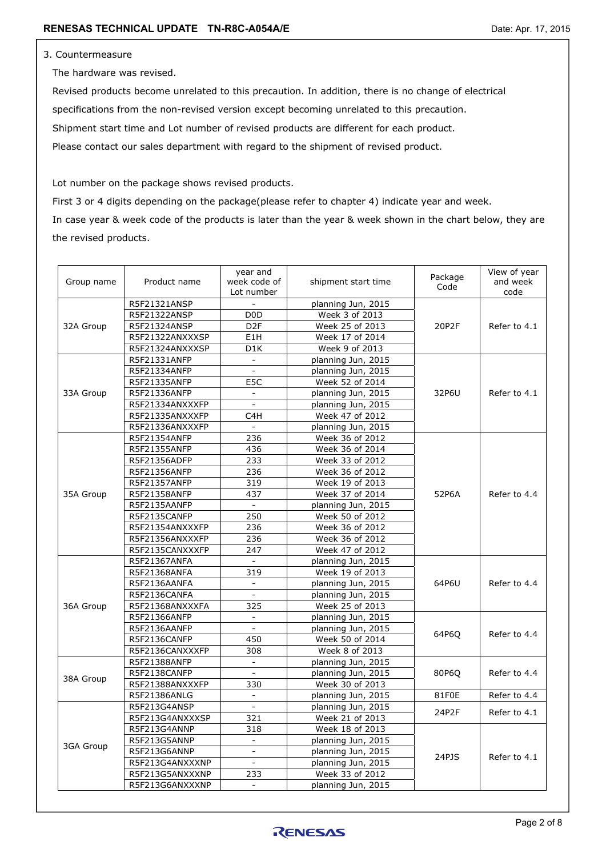#### 3. Countermeasure

The hardware was revised.

 Revised products become unrelated to this precaution. In addition, there is no change of electrical specifications from the non-revised version except becoming unrelated to this precaution. Shipment start time and Lot number of revised products are different for each product. Please contact our sales department with regard to the shipment of revised product.

Lot number on the package shows revised products.

First 3 or 4 digits depending on the package(please refer to chapter 4) indicate year and week. In case year & week code of the products is later than the year & week shown in the chart below, they are the revised products.

| Group name | Product name    | year and<br>week code of<br>Lot number | shipment start time | Package<br>Code | View of year<br>and week<br>code |
|------------|-----------------|----------------------------------------|---------------------|-----------------|----------------------------------|
| 32A Group  | R5F21321ANSP    | $\overline{\phantom{0}}$               | planning Jun, 2015  |                 |                                  |
|            | R5F21322ANSP    | D <sub>0</sub> D                       | Week 3 of 2013      |                 |                                  |
|            | R5F21324ANSP    | D <sub>2</sub> F                       | Week 25 of 2013     | 20P2F           | Refer to 4.1                     |
|            | R5F21322ANXXXSP | E1H                                    | Week 17 of 2014     |                 |                                  |
|            | R5F21324ANXXXSP | D <sub>1</sub> K                       | Week 9 of 2013      |                 |                                  |
|            | R5F21331ANFP    | $\blacksquare$                         | planning Jun, 2015  |                 |                                  |
|            | R5F21334ANFP    | $\overline{\phantom{a}}$               | planning Jun, 2015  |                 |                                  |
|            | R5F21335ANFP    | E5C                                    | Week 52 of 2014     |                 |                                  |
| 33A Group  | R5F21336ANFP    | $\overline{a}$                         | planning Jun, 2015  | 32P6U           | Refer to 4.1                     |
|            | R5F21334ANXXXFP | $\overline{a}$                         | planning Jun, 2015  |                 |                                  |
|            | R5F21335ANXXXFP | C4H                                    | Week 47 of 2012     |                 |                                  |
|            | R5F21336ANXXXFP |                                        | planning Jun, 2015  |                 |                                  |
|            | R5F21354ANFP    | 236                                    | Week 36 of 2012     |                 |                                  |
|            | R5F21355ANFP    | 436                                    | Week 36 of 2014     |                 |                                  |
|            | R5F21356ADFP    | 233                                    | Week 33 of 2012     |                 |                                  |
|            | R5F21356ANFP    | 236                                    | Week 36 of 2012     |                 |                                  |
|            | R5F21357ANFP    | 319                                    | Week 19 of 2013     |                 |                                  |
| 35A Group  | R5F21358ANFP    | 437                                    | Week 37 of 2014     | 52P6A           | Refer to 4.4                     |
|            | R5F2135AANFP    | $\blacksquare$                         | planning Jun, 2015  |                 |                                  |
|            | R5F2135CANFP    | 250                                    | Week 50 of 2012     |                 |                                  |
|            | R5F21354ANXXXFP | 236                                    | Week 36 of 2012     |                 |                                  |
|            | R5F21356ANXXXFP | 236                                    | Week 36 of 2012     |                 |                                  |
|            | R5F2135CANXXXFP | 247                                    | Week 47 of 2012     |                 |                                  |
|            | R5F21367ANFA    | $\blacksquare$                         | planning Jun, 2015  |                 |                                  |
|            | R5F21368ANFA    | 319                                    | Week 19 of 2013     |                 |                                  |
|            | R5F2136AANFA    | $\overline{\phantom{0}}$               | planning Jun, 2015  | 64P6U           | Refer to 4.4                     |
|            | R5F2136CANFA    | $\omega$                               | planning Jun, 2015  |                 |                                  |
| 36A Group  | R5F21368ANXXXFA | 325                                    | Week 25 of 2013     |                 |                                  |
|            | R5F21366ANFP    |                                        | planning Jun, 2015  |                 |                                  |
|            | R5F2136AANFP    | $\blacksquare$                         | planning Jun, 2015  | 64P6Q           | Refer to 4.4                     |
|            | R5F2136CANFP    | 450                                    | Week 50 of 2014     |                 |                                  |
|            | R5F2136CANXXXFP | 308                                    | Week 8 of 2013      |                 |                                  |
|            | R5F21388ANFP    | $\blacksquare$                         | planning Jun, 2015  |                 |                                  |
|            | R5F2138CANFP    |                                        | planning Jun, 2015  | 80P6Q           | Refer to 4.4                     |
| 38A Group  | R5F21388ANXXXFP | 330                                    | Week 30 of 2013     |                 |                                  |
|            | R5F21386ANLG    |                                        | planning Jun, 2015  | 81F0E           | Refer to 4.4                     |
|            | R5F213G4ANSP    | $\omega$                               | planning Jun, 2015  | 24P2F           | Refer to 4.1                     |
|            | R5F213G4ANXXXSP | 321                                    | Week 21 of 2013     |                 |                                  |
|            | R5F213G4ANNP    | 318                                    | Week 18 of 2013     |                 |                                  |
|            | R5F213G5ANNP    | $\equiv$                               | planning Jun, 2015  |                 |                                  |
| 3GA Group  | R5F213G6ANNP    |                                        | planning Jun, 2015  |                 |                                  |
|            | R5F213G4ANXXXNP | $\equiv$                               | planning Jun, 2015  | 24PJS           | Refer to 4.1                     |
|            | R5F213G5ANXXXNP | 233                                    | Week 33 of 2012     |                 |                                  |
|            | R5F213G6ANXXXNP | $\overline{a}$                         | planning Jun, 2015  |                 |                                  |

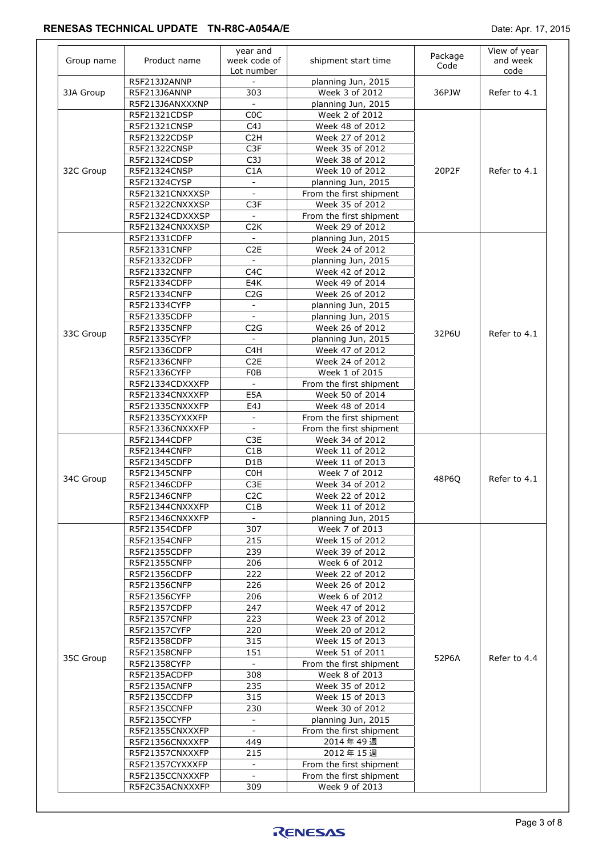| Group name | Product name    | year and<br>week code of<br>Lot number | shipment start time     | Package<br>Code | View of year<br>and week<br>code |
|------------|-----------------|----------------------------------------|-------------------------|-----------------|----------------------------------|
| 3JA Group  | R5F213J2ANNP    |                                        | planning Jun, 2015      | 36PJW           |                                  |
|            | R5F213J6ANNP    | 303                                    | Week 3 of 2012          |                 | Refer to 4.1                     |
|            | R5F213J6ANXXXNP | $\blacksquare$                         | planning Jun, 2015      |                 |                                  |
|            | R5F21321CDSP    | C <sub>0</sub> C                       | Week 2 of 2012          |                 |                                  |
|            | R5F21321CNSP    | C4J                                    | Week 48 of 2012         |                 |                                  |
|            | R5F21322CDSP    | C <sub>2</sub> H                       | Week 27 of 2012         |                 |                                  |
|            | R5F21322CNSP    | C3F                                    | Week 35 of 2012         |                 |                                  |
|            | R5F21324CDSP    | C3J                                    | Week 38 of 2012         |                 |                                  |
| 32C Group  | R5F21324CNSP    | C1A                                    | Week 10 of 2012         | 20P2F           | Refer to 4.1                     |
|            | R5F21324CYSP    |                                        | planning Jun, 2015      |                 |                                  |
|            | R5F21321CNXXXSP | $\mathbb{Z}^{\mathbb{Z}}$              | From the first shipment |                 |                                  |
|            | R5F21322CNXXXSP | C <sub>3F</sub>                        | Week 35 of 2012         |                 |                                  |
|            | R5F21324CDXXXSP |                                        | From the first shipment |                 |                                  |
|            | R5F21324CNXXXSP | C <sub>2</sub> K                       | Week 29 of 2012         |                 |                                  |
|            | R5F21331CDFP    | $\blacksquare$                         | planning Jun, 2015      |                 |                                  |
|            | R5F21331CNFP    | C <sub>2</sub> E                       | Week 24 of 2012         |                 |                                  |
|            | R5F21332CDFP    | $\sim$                                 | planning Jun, 2015      |                 |                                  |
|            | R5F21332CNFP    | C <sub>4</sub> C                       | Week 42 of 2012         |                 |                                  |
|            | R5F21334CDFP    | E4K                                    | Week 49 of 2014         |                 |                                  |
|            | R5F21334CNFP    | C2G                                    | Week 26 of 2012         |                 |                                  |
|            | R5F21334CYFP    | $\blacksquare$                         | planning Jun, 2015      |                 |                                  |
|            | R5F21335CDFP    |                                        | planning Jun, 2015      |                 |                                  |
|            | R5F21335CNFP    | C <sub>2</sub> G                       | Week 26 of 2012         |                 | Refer to 4.1                     |
| 33C Group  | R5F21335CYFP    | $\equiv$                               | planning Jun, 2015      | 32P6U           |                                  |
|            | R5F21336CDFP    | C <sub>4</sub> H                       | Week 47 of 2012         |                 |                                  |
|            | R5F21336CNFP    | C <sub>2</sub> E                       | Week 24 of 2012         |                 |                                  |
|            | R5F21336CYFP    | F <sub>0</sub> B                       | Week 1 of 2015          |                 |                                  |
|            | R5F21334CDXXXFP |                                        | From the first shipment |                 |                                  |
|            | R5F21334CNXXXFP | E5A                                    | Week 50 of 2014         |                 |                                  |
|            | R5F21335CNXXXFP | E4J                                    | Week 48 of 2014         |                 |                                  |
|            | R5F21335CYXXXFP | $\blacksquare$                         | From the first shipment |                 |                                  |
|            | R5F21336CNXXXFP | $\equiv$                               | From the first shipment |                 |                                  |
|            | R5F21344CDFP    | C3E                                    | Week 34 of 2012         |                 |                                  |
|            | R5F21344CNFP    | C1B                                    | Week 11 of 2012         |                 |                                  |
|            | R5F21345CDFP    | D <sub>1</sub> B                       | Week 11 of 2013         |                 |                                  |
|            | R5F21345CNFP    | C <sub>0</sub> H                       | Week 7 of 2012          |                 | Refer to 4.1                     |
| 34C Group  | R5F21346CDFP    | C3E                                    | Week 34 of 2012         | 48P6Q           |                                  |
|            | R5F21346CNFP    | C <sub>2</sub> C                       | Week 22 of 2012         |                 |                                  |
|            |                 |                                        |                         |                 |                                  |
|            | R5F21344CNXXXFP | C1B                                    | Week 11 of 2012         |                 |                                  |
|            | R5F21346CNXXXFP | 307                                    | planning Jun, 2015      |                 |                                  |
|            | R5F21354CDFP    |                                        | Week 7 of 2013          |                 |                                  |
|            | R5F21354CNFP    | 215                                    | Week 15 of 2012         |                 |                                  |
|            | R5F21355CDFP    | 239                                    | Week 39 of 2012         |                 |                                  |
|            | R5F21355CNFP    | 206                                    | Week 6 of 2012          |                 |                                  |
|            | R5F21356CDFP    | 222                                    | Week 22 of 2012         |                 |                                  |
|            | R5F21356CNFP    | 226                                    | Week 26 of 2012         |                 |                                  |
|            | R5F21356CYFP    | 206                                    | Week 6 of 2012          |                 |                                  |
|            | R5F21357CDFP    | 247                                    | Week 47 of 2012         |                 |                                  |
|            | R5F21357CNFP    | 223                                    | Week 23 of 2012         |                 |                                  |
|            | R5F21357CYFP    | 220                                    | Week 20 of 2012         |                 |                                  |
|            | R5F21358CDFP    | 315                                    | Week 15 of 2013         |                 |                                  |
| 35C Group  | R5F21358CNFP    | 151                                    | Week 51 of 2011         | 52P6A           | Refer to 4.4                     |
|            | R5F21358CYFP    | $\omega$                               | From the first shipment |                 |                                  |
|            | R5F2135ACDFP    | 308                                    | Week 8 of 2013          |                 |                                  |
|            | R5F2135ACNFP    | 235                                    | Week 35 of 2012         |                 |                                  |
|            | R5F2135CCDFP    | 315                                    | Week 15 of 2013         |                 |                                  |
|            | R5F2135CCNFP    | 230                                    | Week 30 of 2012         |                 |                                  |
|            | R5F2135CCYFP    | $\blacksquare$                         | planning Jun, 2015      |                 |                                  |
|            | R5F21355CNXXXFP | $\omega$                               | From the first shipment |                 |                                  |
|            | R5F21356CNXXXFP | 449                                    | 2014年49週                |                 |                                  |
|            | R5F21357CNXXXFP | 215                                    | 2012年15週                |                 |                                  |
|            | R5F21357CYXXXFP | $\equiv$                               | From the first shipment |                 |                                  |
|            | R5F2135CCNXXXFP | $\sim$                                 | From the first shipment |                 |                                  |
|            | R5F2C35ACNXXXFP | 309                                    | Week 9 of 2013          |                 |                                  |

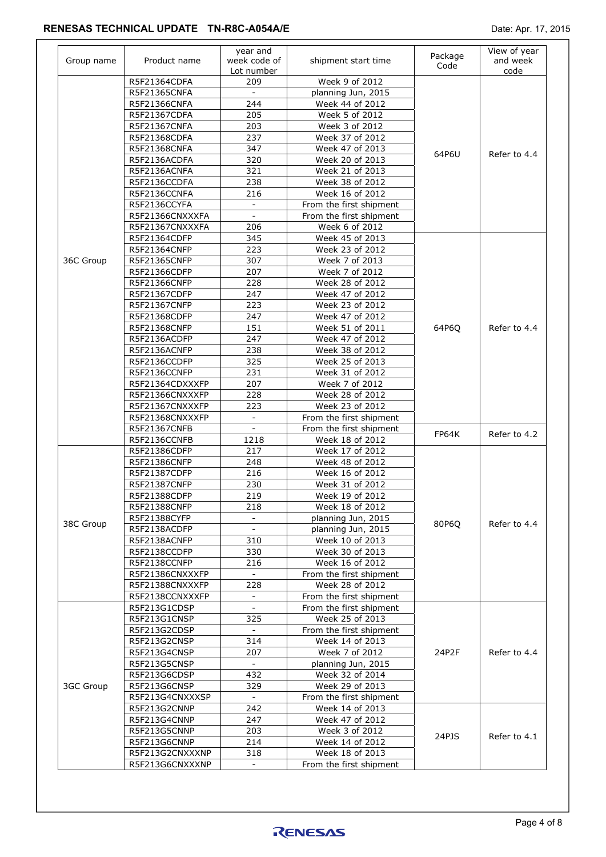| Group name | Product name    | year and<br>week code of<br>Lot number | shipment start time     | Package<br>Code | View of year<br>and week<br>code |  |
|------------|-----------------|----------------------------------------|-------------------------|-----------------|----------------------------------|--|
|            | R5F21364CDFA    | 209                                    | Week 9 of 2012          |                 |                                  |  |
|            | R5F21365CNFA    |                                        | planning Jun, 2015      |                 |                                  |  |
|            | R5F21366CNFA    | 244                                    | Week 44 of 2012         |                 |                                  |  |
|            | R5F21367CDFA    | 205                                    | Week 5 of 2012          |                 |                                  |  |
|            | R5F21367CNFA    | 203                                    | Week 3 of 2012          |                 |                                  |  |
|            | R5F21368CDFA    | 237                                    | Week 37 of 2012         |                 |                                  |  |
|            | R5F21368CNFA    | 347                                    | Week 47 of 2013         |                 |                                  |  |
|            | R5F2136ACDFA    | 320                                    | Week 20 of 2013         | 64P6U           | Refer to 4.4                     |  |
|            | R5F2136ACNFA    | 321                                    | Week 21 of 2013         |                 |                                  |  |
|            | R5F2136CCDFA    | 238                                    | Week 38 of 2012         |                 |                                  |  |
|            | R5F2136CCNFA    | 216                                    | Week 16 of 2012         |                 |                                  |  |
|            | R5F2136CCYFA    | $\bar{\phantom{a}}$                    | From the first shipment |                 |                                  |  |
|            |                 | $\blacksquare$                         | From the first shipment |                 |                                  |  |
|            | R5F21366CNXXXFA |                                        |                         |                 |                                  |  |
|            | R5F21367CNXXXFA | 206                                    | Week 6 of 2012          |                 |                                  |  |
|            | R5F21364CDFP    | 345                                    | Week 45 of 2013         |                 |                                  |  |
|            | R5F21364CNFP    | 223                                    | Week 23 of 2012         |                 |                                  |  |
| 36C Group  | R5F21365CNFP    | 307                                    | Week 7 of 2013          |                 |                                  |  |
|            | R5F21366CDFP    | 207                                    | Week 7 of 2012          |                 |                                  |  |
|            | R5F21366CNFP    | 228                                    | Week 28 of 2012         |                 |                                  |  |
|            | R5F21367CDFP    | 247                                    | Week 47 of 2012         |                 |                                  |  |
|            | R5F21367CNFP    | 223                                    | Week 23 of 2012         |                 |                                  |  |
|            | R5F21368CDFP    | 247                                    | Week 47 of 2012         |                 | Refer to 4.4                     |  |
|            | R5F21368CNFP    | 151                                    | Week 51 of 2011         | 64P6Q           |                                  |  |
|            | R5F2136ACDFP    | 247                                    | Week 47 of 2012         |                 |                                  |  |
|            | R5F2136ACNFP    | 238                                    | Week 38 of 2012         |                 |                                  |  |
|            | R5F2136CCDFP    | 325                                    | Week 25 of 2013         |                 |                                  |  |
|            | R5F2136CCNFP    | 231                                    | Week 31 of 2012         |                 |                                  |  |
|            | R5F21364CDXXXFP | 207                                    | Week 7 of 2012          |                 |                                  |  |
|            | R5F21366CNXXXFP | 228                                    | Week 28 of 2012         |                 |                                  |  |
|            | R5F21367CNXXXFP | 223                                    | Week 23 of 2012         |                 |                                  |  |
|            | R5F21368CNXXXFP | $\blacksquare$                         | From the first shipment |                 |                                  |  |
|            | R5F21367CNFB    |                                        | From the first shipment |                 |                                  |  |
|            |                 | 1218                                   | Week 18 of 2012         | FP64K           | Refer to 4.2                     |  |
|            | R5F2136CCNFB    | 217                                    | Week 17 of 2012         |                 |                                  |  |
|            | R5F21386CDFP    |                                        | Week 48 of 2012         |                 |                                  |  |
|            | R5F21386CNFP    | 248                                    |                         |                 |                                  |  |
|            | R5F21387CDFP    | 216                                    | Week 16 of 2012         |                 |                                  |  |
|            | R5F21387CNFP    | 230                                    | Week 31 of 2012         |                 |                                  |  |
|            | R5F21388CDFP    | 219                                    | Week 19 of 2012         |                 |                                  |  |
|            | R5F21388CNFP    | 218                                    | Week 18 of 2012         | 80P6Q           | Refer to 4.4                     |  |
| 38C Group  | R5F21388CYFP    |                                        | planning Jun, 2015      |                 |                                  |  |
|            | R5F2138ACDFP    | $\overline{a}$                         | planning Jun, 2015      |                 |                                  |  |
|            | R5F2138ACNFP    | 310                                    | Week 10 of 2013         |                 |                                  |  |
|            | R5F2138CCDFP    | 330                                    | Week 30 of 2013         |                 |                                  |  |
|            | R5F2138CCNFP    | 216                                    | Week 16 of 2012         |                 |                                  |  |
|            | R5F21386CNXXXFP | $\sim$                                 | From the first shipment |                 |                                  |  |
|            | R5F21388CNXXXFP | 228                                    | Week 28 of 2012         |                 |                                  |  |
|            | R5F2138CCNXXXFP |                                        | From the first shipment |                 |                                  |  |
|            | R5F213G1CDSP    | $\equiv$                               | From the first shipment |                 |                                  |  |
|            | R5F213G1CNSP    | 325                                    | Week 25 of 2013         |                 |                                  |  |
|            | R5F213G2CDSP    |                                        | From the first shipment |                 |                                  |  |
|            | R5F213G2CNSP    | 314                                    | Week 14 of 2013         |                 |                                  |  |
|            | R5F213G4CNSP    | 207                                    | Week 7 of 2012          | 24P2F           | Refer to 4.4                     |  |
|            |                 | $\mathbf{L}$                           |                         |                 |                                  |  |
|            | R5F213G5CNSP    |                                        | planning Jun, 2015      |                 |                                  |  |
|            | R5F213G6CDSP    | 432                                    | Week 32 of 2014         |                 |                                  |  |
| 3GC Group  | R5F213G6CNSP    | 329                                    | Week 29 of 2013         |                 |                                  |  |
|            | R5F213G4CNXXXSP | $\overline{\phantom{a}}$               | From the first shipment |                 |                                  |  |
|            | R5F213G2CNNP    | 242                                    | Week 14 of 2013         |                 |                                  |  |
|            | R5F213G4CNNP    | 247                                    | Week 47 of 2012         |                 |                                  |  |
|            | R5F213G5CNNP    | 203                                    | Week 3 of 2012          | 24PJS           |                                  |  |
|            |                 |                                        |                         |                 | Refer to 4.1                     |  |
|            | R5F213G6CNNP    | 214                                    | Week 14 of 2012         |                 |                                  |  |
|            | R5F213G2CNXXXNP | 318                                    | Week 18 of 2013         |                 |                                  |  |



 $\overline{a}$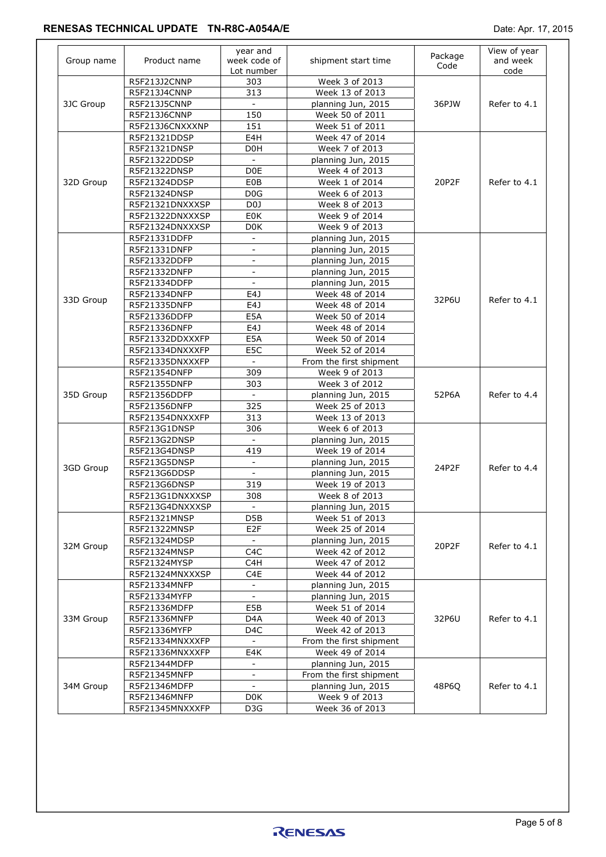| Group name | Product name    | year and<br>week code of<br>Lot number | shipment start time     | Package<br>Code | View of year<br>and week<br>code |
|------------|-----------------|----------------------------------------|-------------------------|-----------------|----------------------------------|
|            | R5F213J2CNNP    | 303                                    | Week 3 of 2013          |                 |                                  |
|            | R5F213J4CNNP    | 313                                    | Week 13 of 2013         |                 |                                  |
| 3JC Group  | R5F213J5CNNP    | $\qquad \qquad \blacksquare$           | planning Jun, 2015      | 36PJW           | Refer to 4.1                     |
|            | R5F213J6CNNP    | 150                                    | Week 50 of 2011         |                 |                                  |
|            | R5F213J6CNXXXNP | 151                                    | Week 51 of 2011         |                 |                                  |
|            | R5F21321DDSP    | E4H                                    | Week 47 of 2014         |                 |                                  |
|            | R5F21321DNSP    | D <sub>0</sub> H                       | Week 7 of 2013          |                 |                                  |
|            | R5F21322DDSP    | $\blacksquare$                         | planning Jun, 2015      |                 |                                  |
|            | R5F21322DNSP    | D <sub>0</sub> E                       | Week 4 of 2013          |                 |                                  |
| 32D Group  | R5F21324DDSP    | <b>E0B</b>                             | Week 1 of 2014          | 20P2F           | Refer to 4.1                     |
|            | R5F21324DNSP    | D0G                                    | Week 6 of 2013          |                 |                                  |
|            | R5F21321DNXXXSP | D <sub>0</sub>                         | Week 8 of 2013          |                 |                                  |
|            | R5F21322DNXXXSP | E0K                                    | Week 9 of 2014          |                 |                                  |
|            | R5F21324DNXXXSP | D <sub>0</sub> K                       | Week 9 of 2013          |                 |                                  |
|            | R5F21331DDFP    | $\overline{\phantom{a}}$               | planning Jun, 2015      |                 |                                  |
|            | R5F21331DNFP    |                                        | planning Jun, 2015      |                 |                                  |
|            | R5F21332DDFP    | $\overline{\phantom{a}}$               | planning Jun, 2015      |                 |                                  |
|            | R5F21332DNFP    | $\overline{\phantom{a}}$               | planning Jun, 2015      |                 |                                  |
|            | R5F21334DDFP    | $\overline{a}$                         | planning Jun, 2015      |                 |                                  |
|            | R5F21334DNFP    | E4J                                    | Week 48 of 2014         |                 | Refer to 4.1                     |
| 33D Group  | R5F21335DNFP    | E4J                                    | Week 48 of 2014         | 32P6U           |                                  |
|            | R5F21336DDFP    | E5A                                    | Week 50 of 2014         |                 |                                  |
|            | R5F21336DNFP    | E4J                                    | Week 48 of 2014         |                 |                                  |
|            | R5F21332DDXXXFP | E5A                                    | Week 50 of 2014         |                 |                                  |
|            | R5F21334DNXXXFP | E5C                                    | Week 52 of 2014         |                 |                                  |
|            | R5F21335DNXXXFP | $\blacksquare$                         | From the first shipment |                 |                                  |
|            | R5F21354DNFP    | 309                                    | Week 9 of 2013          | 52P6A           | Refer to 4.4                     |
|            | R5F21355DNFP    | 303                                    | Week 3 of 2012          |                 |                                  |
|            |                 | $\blacksquare$                         |                         |                 |                                  |
| 35D Group  | R5F21356DDFP    |                                        | planning Jun, 2015      |                 |                                  |
|            | R5F21356DNFP    | 325                                    | Week 25 of 2013         |                 |                                  |
|            | R5F21354DNXXXFP | 313                                    | Week 13 of 2013         |                 |                                  |
|            | R5F213G1DNSP    | 306                                    | Week 6 of 2013          |                 |                                  |
|            | R5F213G2DNSP    | $\blacksquare$                         | planning Jun, 2015      |                 |                                  |
|            | R5F213G4DNSP    | 419                                    | Week 19 of 2014         |                 |                                  |
| 3GD Group  | R5F213G5DNSP    | $\blacksquare$                         | planning Jun, 2015      | 24P2F           | Refer to 4.4                     |
|            | R5F213G6DDSP    |                                        | planning Jun, 2015      |                 |                                  |
|            | R5F213G6DNSP    | 319                                    | Week 19 of 2013         |                 |                                  |
|            | R5F213G1DNXXXSP | 308                                    | Week 8 of 2013          |                 |                                  |
|            | R5F213G4DNXXXSP | $\sim$                                 | planning Jun, 2015      |                 |                                  |
|            | R5F21321MNSP    | D5B                                    | Week 51 of 2013         |                 |                                  |
|            | R5F21322MNSP    | E <sub>2</sub> F                       | Week 25 of 2014         |                 |                                  |
| 32M Group  | R5F21324MDSP    | $\sim$                                 | planning Jun, 2015      | 20P2F           | Refer to 4.1                     |
|            | R5F21324MNSP    | C <sub>4</sub> C                       | Week 42 of 2012         |                 |                                  |
|            | R5F21324MYSP    | C <sub>4</sub> H                       | Week 47 of 2012         |                 |                                  |
|            | R5F21324MNXXXSP | C4E                                    | Week 44 of 2012         |                 |                                  |
|            | R5F21334MNFP    | $\overline{\phantom{a}}$               | planning Jun, 2015      |                 |                                  |
|            | R5F21334MYFP    | $\blacksquare$                         | planning Jun, 2015      |                 |                                  |
|            | R5F21336MDFP    | E5B                                    | Week 51 of 2014         |                 |                                  |
| 33M Group  | R5F21336MNFP    | D4A                                    | Week 40 of 2013         | 32P6U           | Refer to 4.1                     |
|            | R5F21336MYFP    | D <sub>4</sub> C                       | Week 42 of 2013         |                 |                                  |
|            | R5F21334MNXXXFP | $\equiv$                               | From the first shipment |                 |                                  |
|            | R5F21336MNXXXFP | E4K                                    | Week 49 of 2014         |                 |                                  |
|            | R5F21344MDFP    | $\blacksquare$                         | planning Jun, 2015      |                 |                                  |
|            | R5F21345MNFP    | $\blacksquare$                         | From the first shipment |                 |                                  |
| 34M Group  | R5F21346MDFP    | $\equiv$                               | planning Jun, 2015      | 48P6Q           | Refer to 4.1                     |
|            | R5F21346MNFP    | D <sub>0</sub> K                       | Week 9 of 2013          |                 |                                  |
|            | R5F21345MNXXXFP | D3G                                    | Week 36 of 2013         |                 |                                  |
|            |                 |                                        |                         |                 |                                  |

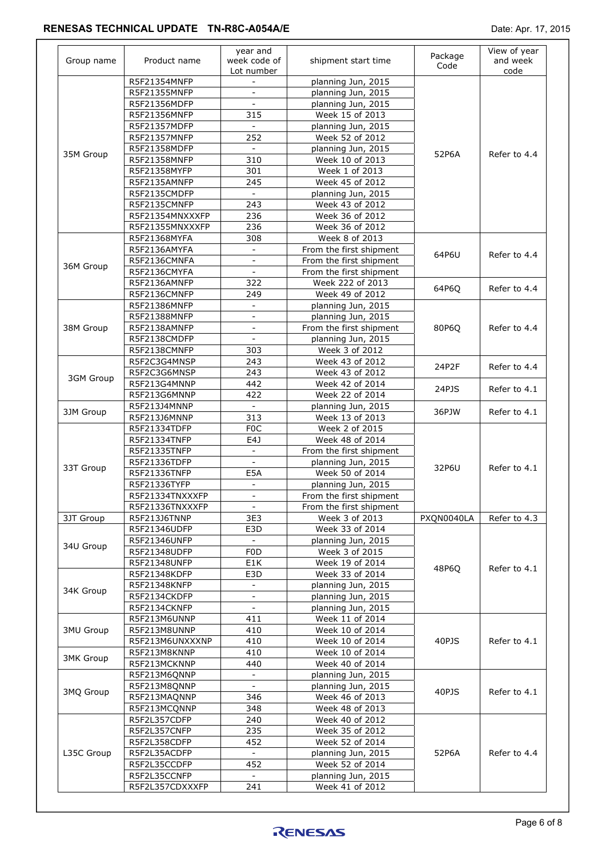| Group name       | Product name    | year and<br>week code of<br>Lot number | shipment start time     | Package<br>Code | View of year<br>and week<br>code |
|------------------|-----------------|----------------------------------------|-------------------------|-----------------|----------------------------------|
|                  | R5F21354MNFP    |                                        | planning Jun, 2015      |                 |                                  |
|                  | R5F21355MNFP    | $\blacksquare$                         | planning Jun, 2015      |                 |                                  |
|                  | R5F21356MDFP    |                                        | planning Jun, 2015      |                 |                                  |
|                  | R5F21356MNFP    | 315                                    | Week 15 of 2013         |                 |                                  |
|                  | R5F21357MDFP    | $\sim$                                 | planning Jun, 2015      |                 |                                  |
|                  | R5F21357MNFP    | 252                                    | Week 52 of 2012         |                 |                                  |
|                  | R5F21358MDFP    | $\overline{\phantom{a}}$               | planning Jun, 2015      |                 |                                  |
| 35M Group        | R5F21358MNFP    | 310                                    | Week 10 of 2013         | 52P6A           | Refer to 4.4                     |
|                  | R5F21358MYFP    | 301                                    | Week 1 of 2013          |                 |                                  |
|                  | R5F2135AMNFP    | 245                                    | Week 45 of 2012         |                 |                                  |
|                  | R5F2135CMDFP    | $\sim$                                 | planning Jun, 2015      |                 |                                  |
|                  | R5F2135CMNFP    | 243                                    | Week 43 of 2012         |                 |                                  |
|                  | R5F21354MNXXXFP | 236                                    | Week 36 of 2012         |                 |                                  |
|                  | R5F21355MNXXXFP | 236                                    | Week 36 of 2012         |                 |                                  |
|                  | R5F21368MYFA    | 308                                    | Week 8 of 2013          |                 |                                  |
|                  | R5F2136AMYFA    | $\blacksquare$                         | From the first shipment |                 |                                  |
|                  | R5F2136CMNFA    | $\mathbf{r}$                           | From the first shipment | 64P6U           | Refer to 4.4                     |
| 36M Group        | R5F2136CMYFA    | $\blacksquare$                         | From the first shipment |                 |                                  |
|                  | R5F2136AMNFP    | 322                                    | Week 222 of 2013        |                 |                                  |
|                  | R5F2136CMNFP    | 249                                    | Week 49 of 2012         | 64P6Q           | Refer to 4.4                     |
|                  | R5F21386MNFP    | $\overline{\phantom{a}}$               |                         |                 |                                  |
|                  |                 |                                        | planning Jun, 2015      |                 |                                  |
|                  | R5F21388MNFP    | $\overline{\phantom{a}}$               | planning Jun, 2015      |                 |                                  |
| 38M Group        | R5F2138AMNFP    |                                        | From the first shipment | 80P6Q           | Refer to 4.4                     |
|                  | R5F2138CMDFP    | $\equiv$                               | planning Jun, 2015      |                 |                                  |
|                  | R5F2138CMNFP    | 303                                    | Week 3 of 2012          |                 |                                  |
|                  | R5F2C3G4MNSP    | 243                                    | Week 43 of 2012         | 24P2F           | Refer to 4.4                     |
| 3GM Group        | R5F2C3G6MNSP    | 243                                    | Week 43 of 2012         | 24PJS           | Refer to 4.1                     |
|                  | R5F213G4MNNP    | 442                                    | Week 42 of 2014         |                 |                                  |
|                  | R5F213G6MNNP    | 422                                    | Week 22 of 2014         |                 |                                  |
| 3JM Group        | R5F213J4MNNP    | $\sim$                                 | planning Jun, 2015      | 36PJW           | Refer to 4.1                     |
|                  | R5F213J6MNNP    | 313                                    | Week 13 of 2013         |                 |                                  |
|                  | R5F21334TDFP    | F <sub>0</sub> C                       | Week 2 of 2015          |                 |                                  |
|                  | R5F21334TNFP    | E4J                                    | Week 48 of 2014         |                 |                                  |
|                  | R5F21335TNFP    |                                        | From the first shipment |                 |                                  |
| 33T Group        | R5F21336TDFP    | $\mathbf{r}$                           | planning Jun, 2015      | 32P6U           | Refer to 4.1                     |
|                  | R5F21336TNFP    | E5A                                    | Week 50 of 2014         |                 |                                  |
|                  | R5F21336TYFP    | $\overline{\phantom{a}}$               | planning Jun, 2015      |                 |                                  |
|                  | R5F21334TNXXXFP | $\mathbf{r}$                           | From the first shipment |                 |                                  |
|                  | R5F21336TNXXXFP | $\sim$                                 | From the first shipment |                 |                                  |
| 3JT Group        | R5F213J6TNNP    | 3E3                                    | Week 3 of 2013          | PXQN0040LA      | Refer to 4.3                     |
|                  | R5F21346UDFP    | E3D                                    | Week 33 of 2014         |                 |                                  |
|                  | R5F21346UNFP    | $\blacksquare$                         | planning Jun, 2015      |                 |                                  |
| 34U Group        | R5F21348UDFP    | F <sub>0</sub> D                       | Week 3 of 2015          |                 |                                  |
|                  | R5F21348UNFP    | E1K                                    | Week 19 of 2014         |                 |                                  |
|                  | R5F21348KDFP    | E3D                                    | Week 33 of 2014         | 48P6Q           | Refer to 4.1                     |
|                  | R5F21348KNFP    |                                        | planning Jun, 2015      |                 |                                  |
| 34K Group        | R5F2134CKDFP    | $\bar{\mathbf{r}}$                     | planning Jun, 2015      |                 |                                  |
|                  | R5F2134CKNFP    | $\equiv$                               | planning Jun, 2015      |                 |                                  |
|                  |                 | 411                                    | Week 11 of 2014         |                 |                                  |
|                  | R5F213M6UNNP    |                                        |                         |                 |                                  |
| <b>3MU Group</b> | R5F213M8UNNP    | 410                                    | Week 10 of 2014         |                 |                                  |
|                  | R5F213M6UNXXXNP | 410                                    | Week 10 of 2014         | 40PJS           | Refer to 4.1                     |
| <b>3MK Group</b> | R5F213M8KNNP    | 410                                    | Week 10 of 2014         |                 |                                  |
|                  | R5F213MCKNNP    | 440                                    | Week 40 of 2014         |                 |                                  |
| 3MQ Group        | R5F213M6QNNP    | $\blacksquare$                         | planning Jun, 2015      |                 |                                  |
|                  | R5F213M8QNNP    | $\blacksquare$                         | planning Jun, 2015      | 40PJS           | Refer to 4.1                     |
|                  | R5F213MAQNNP    | 346                                    | Week 46 of 2013         |                 |                                  |
|                  | R5F213MCQNNP    | 348                                    | Week 48 of 2013         |                 |                                  |
|                  | R5F2L357CDFP    | 240                                    | Week 40 of 2012         |                 |                                  |
|                  | R5F2L357CNFP    | 235                                    | Week 35 of 2012         |                 |                                  |
|                  | R5F2L358CDFP    | 452                                    | Week 52 of 2014         |                 |                                  |
| L35C Group       | R5F2L35ACDFP    | $\sim$                                 | planning Jun, 2015      | 52P6A           | Refer to 4.4                     |
|                  | R5F2L35CCDFP    | 452                                    | Week 52 of 2014         |                 |                                  |
|                  | R5F2L35CCNFP    |                                        | planning Jun, 2015      |                 |                                  |
|                  | R5F2L357CDXXXFP | 241                                    | Week 41 of 2012         |                 |                                  |
|                  |                 |                                        |                         |                 |                                  |

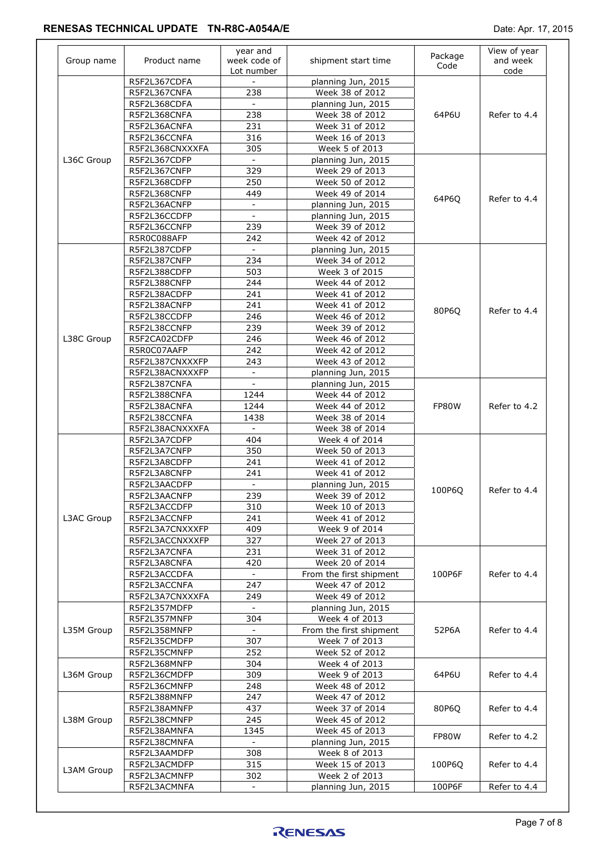| Group name | Product name                 | year and<br>week code of<br>Lot number | shipment start time                   | Package<br>Code | View of year<br>and week<br>code |
|------------|------------------------------|----------------------------------------|---------------------------------------|-----------------|----------------------------------|
|            | R5F2L367CDFA<br>R5F2L367CNFA | 238                                    | planning Jun, 2015<br>Week 38 of 2012 |                 |                                  |
|            | R5F2L368CDFA                 | $\sim$                                 | planning Jun, 2015                    |                 |                                  |
|            | R5F2L368CNFA                 | 238                                    | Week 38 of 2012                       | 64P6U           | Refer to 4.4                     |
|            | R5F2L36ACNFA                 | 231                                    | Week 31 of 2012                       |                 |                                  |
|            | R5F2L36CCNFA                 | 316                                    | Week 16 of 2013                       |                 |                                  |
|            | R5F2L368CNXXXFA              | 305                                    | Week 5 of 2013                        |                 |                                  |
| L36C Group | R5F2L367CDFP                 |                                        | planning Jun, 2015                    |                 |                                  |
|            | R5F2L367CNFP                 | 329                                    | Week 29 of 2013                       |                 |                                  |
|            | R5F2L368CDFP                 | 250                                    | Week 50 of 2012                       |                 |                                  |
|            | R5F2L368CNFP                 | 449                                    | Week 49 of 2014                       |                 |                                  |
|            | R5F2L36ACNFP                 | $\equiv$                               | planning Jun, 2015                    | 64P6Q           | Refer to 4.4                     |
|            | R5F2L36CCDFP                 | $\equiv$                               | planning Jun, 2015                    |                 |                                  |
|            | R5F2L36CCNFP                 | 239                                    | Week 39 of 2012                       |                 |                                  |
|            |                              |                                        |                                       |                 |                                  |
|            | R5R0C088AFP                  | 242<br>$\sim$                          | Week 42 of 2012                       |                 |                                  |
|            | R5F2L387CDFP                 |                                        | planning Jun, 2015                    |                 |                                  |
|            | R5F2L387CNFP                 | 234                                    | Week 34 of 2012                       |                 |                                  |
|            | R5F2L388CDFP                 | 503                                    | Week 3 of 2015                        |                 |                                  |
|            | R5F2L388CNFP                 | 244                                    | Week 44 of 2012                       |                 |                                  |
|            | R5F2L38ACDFP                 | 241                                    | Week 41 of 2012                       |                 |                                  |
|            | R5F2L38ACNFP                 | 241                                    | Week 41 of 2012                       | 80P6Q           | Refer to 4.4                     |
|            | R5F2L38CCDFP                 | 246                                    | Week 46 of 2012                       |                 |                                  |
|            | R5F2L38CCNFP                 | 239                                    | Week 39 of 2012                       |                 |                                  |
| L38C Group | R5F2CA02CDFP                 | 246                                    | Week 46 of 2012                       |                 |                                  |
|            | R5R0C07AAFP                  | 242                                    | Week 42 of 2012                       |                 |                                  |
|            | R5F2L387CNXXXFP              | 243                                    | Week 43 of 2012                       |                 |                                  |
|            | R5F2L38ACNXXXFP              | $\qquad \qquad \blacksquare$           | planning Jun, 2015                    |                 |                                  |
|            | R5F2L387CNFA                 | $\overline{\phantom{a}}$               | planning Jun, 2015                    |                 |                                  |
|            | R5F2L388CNFA                 | 1244                                   | Week 44 of 2012                       | FP80W           | Refer to 4.2                     |
|            | R5F2L38ACNFA                 | 1244                                   | Week 44 of 2012                       |                 |                                  |
|            | R5F2L38CCNFA                 | 1438                                   | Week 38 of 2014                       |                 |                                  |
|            | R5F2L38ACNXXXFA              |                                        | Week 38 of 2014                       |                 |                                  |
|            | R5F2L3A7CDFP                 | 404                                    | Week 4 of 2014                        |                 |                                  |
|            | R5F2L3A7CNFP                 | 350                                    | Week 50 of 2013                       |                 |                                  |
|            | R5F2L3A8CDFP                 | 241                                    | Week 41 of 2012                       |                 |                                  |
|            | R5F2L3A8CNFP                 | 241                                    | Week 41 of 2012                       |                 |                                  |
|            | R5F2L3AACDFP                 | $\blacksquare$                         | planning Jun, 2015                    | 100P6Q          | Refer to 4.4                     |
|            | R5F2L3AACNFP                 | 239                                    | Week 39 of 2012                       |                 |                                  |
|            | R5F2L3ACCDFP                 | 310                                    | Week 10 of 2013                       |                 |                                  |
| L3AC Group | R5F2L3ACCNFP                 | 241                                    | Week 41 of 2012                       |                 |                                  |
|            | R5F2L3A7CNXXXFP              | 409                                    | Week 9 of 2014                        |                 |                                  |
|            | R5F2L3ACCNXXXFP              | 327                                    | Week 27 of 2013                       |                 |                                  |
|            | R5F2L3A7CNFA                 | 231                                    | Week 31 of 2012                       |                 |                                  |
|            | R5F2L3A8CNFA                 | 420                                    | Week 20 of 2014                       |                 |                                  |
|            | R5F2L3ACCDFA                 |                                        | From the first shipment               | 100P6F          | Refer to 4.4                     |
|            | R5F2L3ACCNFA                 | 247                                    | Week 47 of 2012                       |                 |                                  |
|            | R5F2L3A7CNXXXFA              | 249                                    | Week 49 of 2012                       |                 |                                  |
|            | R5F2L357MDFP                 |                                        | planning Jun, 2015                    |                 |                                  |
|            | R5F2L357MNFP                 | 304                                    | Week 4 of 2013                        |                 |                                  |
| L35M Group | R5F2L358MNFP                 |                                        | From the first shipment               | 52P6A           | Refer to 4.4                     |
|            | R5F2L35CMDFP                 | 307                                    | Week 7 of 2013                        |                 |                                  |
|            | R5F2L35CMNFP                 | 252                                    | Week 52 of 2012                       |                 |                                  |
|            | R5F2L368MNFP                 | 304                                    | Week 4 of 2013                        |                 |                                  |
| L36M Group | R5F2L36CMDFP                 | 309                                    | Week 9 of 2013                        | 64P6U           | Refer to 4.4                     |
|            | R5F2L36CMNFP                 | 248                                    | Week 48 of 2012                       |                 |                                  |
|            | R5F2L388MNFP                 | 247                                    | Week 47 of 2012                       |                 |                                  |
|            | R5F2L38AMNFP                 | 437                                    | Week 37 of 2014                       | 80P6Q           | Refer to 4.4                     |
| L38M Group | R5F2L38CMNFP                 | 245                                    | Week 45 of 2012                       |                 |                                  |
|            | R5F2L38AMNFA                 | 1345                                   | Week 45 of 2013                       |                 |                                  |
|            | R5F2L38CMNFA                 |                                        | planning Jun, 2015                    | FP80W           | Refer to 4.2                     |
|            | R5F2L3AAMDFP                 | 308                                    | Week 8 of 2013                        |                 |                                  |
| L3AM Group |                              |                                        |                                       | 100P6Q          |                                  |
|            | R5F2L3ACMDFP                 | 315                                    | Week 15 of 2013                       |                 | Refer to 4.4                     |
|            | R5F2L3ACMNFP                 | 302                                    | Week 2 of 2013                        |                 |                                  |
|            | R5F2L3ACMNFA                 |                                        | planning Jun, 2015                    | 100P6F          | Refer to 4.4                     |